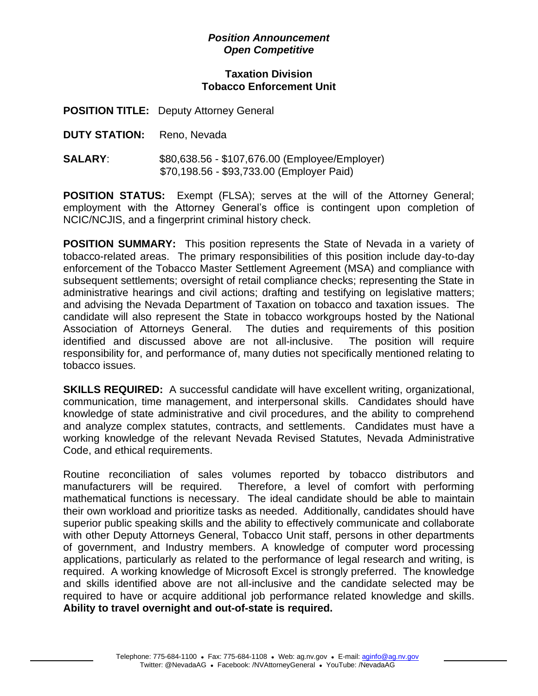## *Position Announcement Open Competitive*

## **Taxation Division Tobacco Enforcement Unit**

**POSITION TITLE:** Deputy Attorney General

- **DUTY STATION:** Reno, Nevada
- **SALARY**: \$80,638.56 \$107,676.00 (Employee/Employer) \$70,198.56 - \$93,733.00 (Employer Paid)

**POSITION STATUS:** Exempt (FLSA); serves at the will of the Attorney General; employment with the Attorney General's office is contingent upon completion of NCIC/NCJIS, and a fingerprint criminal history check.

**POSITION SUMMARY:** This position represents the State of Nevada in a variety of tobacco-related areas. The primary responsibilities of this position include day-to-day enforcement of the Tobacco Master Settlement Agreement (MSA) and compliance with subsequent settlements; oversight of retail compliance checks; representing the State in administrative hearings and civil actions; drafting and testifying on legislative matters; and advising the Nevada Department of Taxation on tobacco and taxation issues. The candidate will also represent the State in tobacco workgroups hosted by the National Association of Attorneys General. The duties and requirements of this position identified and discussed above are not all-inclusive. The position will require responsibility for, and performance of, many duties not specifically mentioned relating to tobacco issues.

**SKILLS REQUIRED:** A successful candidate will have excellent writing, organizational, communication, time management, and interpersonal skills. Candidates should have knowledge of state administrative and civil procedures, and the ability to comprehend and analyze complex statutes, contracts, and settlements. Candidates must have a working knowledge of the relevant Nevada Revised Statutes, Nevada Administrative Code, and ethical requirements.

Routine reconciliation of sales volumes reported by tobacco distributors and manufacturers will be required. Therefore, a level of comfort with performing mathematical functions is necessary. The ideal candidate should be able to maintain their own workload and prioritize tasks as needed. Additionally, candidates should have superior public speaking skills and the ability to effectively communicate and collaborate with other Deputy Attorneys General, Tobacco Unit staff, persons in other departments of government, and Industry members. A knowledge of computer word processing applications, particularly as related to the performance of legal research and writing, is required. A working knowledge of Microsoft Excel is strongly preferred. The knowledge and skills identified above are not all-inclusive and the candidate selected may be required to have or acquire additional job performance related knowledge and skills. **Ability to travel overnight and out-of-state is required.**